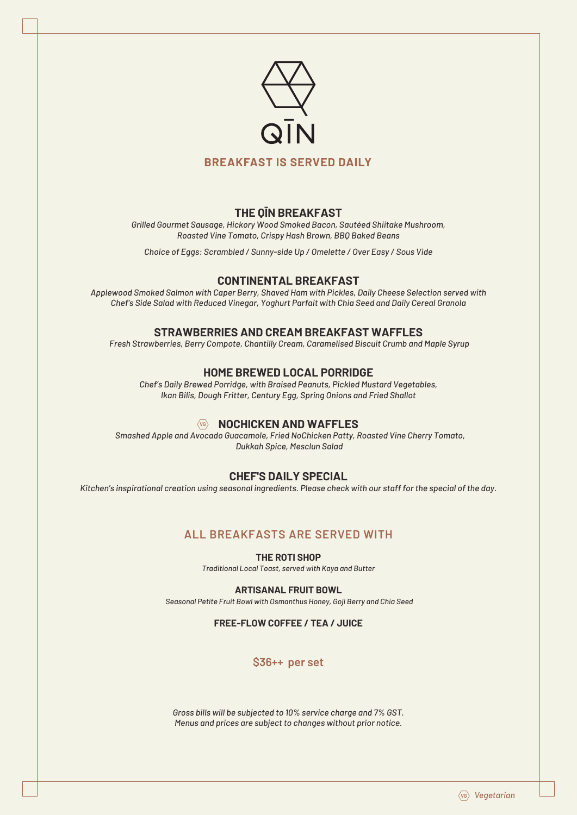

#### **BREAKFAST IS SERVED DAILY**

#### **THE QĪN BREAKFAST**

*Grilled Gourmet Sausage, Hickory Wood Smoked Bacon, Sautéed Shiitake Mushroom, Roasted Vine Tomato, Crispy Hash Brown, BBQ Baked Beans*

*Choice of Eggs: Scrambled / Sunny-side Up / Omelette / Over Easy / Sous Vide*

#### **CONTINENTAL BREAKFAST**

*Applewood Smoked Salmon with Caper Berry, Shaved Ham with Pickles, Daily Cheese Selection served with Chef's Side Salad with Reduced Vinegar, Yoghurt Parfait with Chia Seed and Daily Cereal Granola*

#### **STRAWBERRIES AND CREAM BREAKFAST WAFFLES**

*Fresh Strawberries, Berry Compote, Chantilly Cream, Caramelised Biscuit Crumb and Maple Syrup*

#### **HOME BREWED LOCAL PORRIDGE**

*Chef's Daily Brewed Porridge, with Braised Peanuts, Pickled Mustard Vegetables, Ikan Bilis, Dough Fritter, Century Egg, Spring Onions and Fried Shallot*

## **WB** NOCHICKEN AND WAFFLES

 *Smashed Apple and Avocado Guacamole, Fried NoChicken Patty, Roasted Vine Cherry Tomato, Dukkah Spice, Mesclun Salad*

## **CHEF'S DAILY SPECIAL**

*Kitchen's inspirational creation using seasonal ingredients. Please check with our staff for the special of the day.*

## **ALL BREAKFASTS ARE SERVED WITH**

**THE ROTI SHOP**

*Traditional Local Toast, served with Kaya and Butter*

**ARTISANAL FRUIT BOWL**

*Seasonal Petite Fruit Bowl with Osmanthus Honey, Goji Berry and Chia Seed*

#### **FREE-FLOW COFFEE / TEA / JUICE**

## **\$36++ per set**

*Gross bills will be subjected to 10% service charge and 7% GST. Menus and prices are subject to changes without prior notice.*